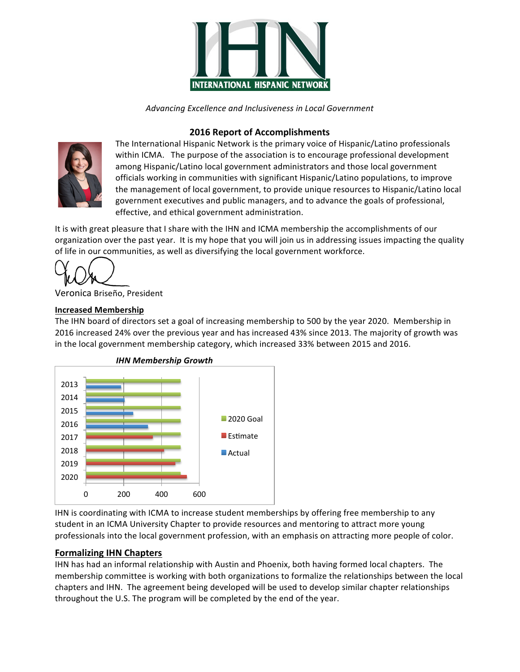

*Advancing Excellence and Inclusiveness in Local Government*

# **2016 Report of Accomplishments**



The International Hispanic Network is the primary voice of Hispanic/Latino professionals within ICMA. The purpose of the association is to encourage professional development among Hispanic/Latino local government administrators and those local government officials working in communities with significant Hispanic/Latino populations, to improve the management of local government, to provide unique resources to Hispanic/Latino local government executives and public managers, and to advance the goals of professional, effective, and ethical government administration.

It is with great pleasure that I share with the IHN and ICMA membership the accomplishments of our organization over the past year. It is my hope that you will join us in addressing issues impacting the quality of life in our communities, as well as diversifying the local government workforce.

Veronica Briseño, President

#### **Increased Membership**

The IHN board of directors set a goal of increasing membership to 500 by the year 2020. Membership in 2016 increased 24% over the previous year and has increased 43% since 2013. The majority of growth was in the local government membership category, which increased 33% between 2015 and 2016.



*IHN Membership Growth*

IHN is coordinating with ICMA to increase student memberships by offering free membership to any student in an ICMA University Chapter to provide resources and mentoring to attract more young professionals into the local government profession, with an emphasis on attracting more people of color.

### **Formalizing IHN Chapters**

IHN has had an informal relationship with Austin and Phoenix, both having formed local chapters. The membership committee is working with both organizations to formalize the relationships between the local chapters and IHN. The agreement being developed will be used to develop similar chapter relationships throughout the U.S. The program will be completed by the end of the year.